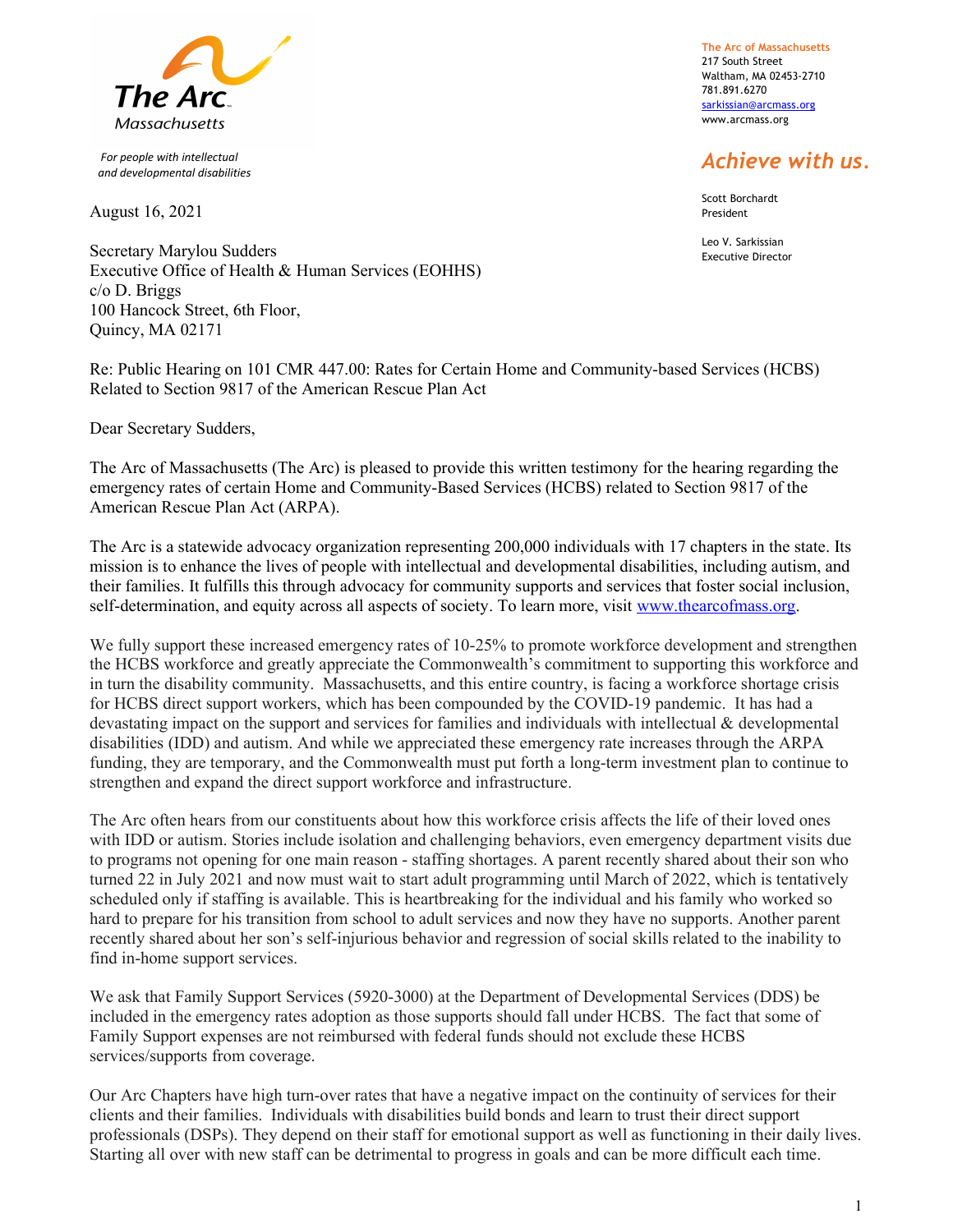

 For people with intellectual and developmental disabilities

August 16, 2021

The Arc of Massachusetts 217 South Street Waltham, MA 02453-2710 781.891.6270 sarkissian@arcmass.org www.arcmass.org

## Achieve with us.

Scott Borchardt President

Leo V. Sarkissian Executive Director

Secretary Marylou Sudders Executive Office of Health & Human Services (EOHHS) c/o D. Briggs 100 Hancock Street, 6th Floor, Quincy, MA 02171

Re: Public Hearing on 101 CMR 447.00: Rates for Certain Home and Community-based Services (HCBS) Related to Section 9817 of the American Rescue Plan Act

Dear Secretary Sudders,

The Arc of Massachusetts (The Arc) is pleased to provide this written testimony for the hearing regarding the emergency rates of certain Home and Community-Based Services (HCBS) related to Section 9817 of the American Rescue Plan Act (ARPA).

The Arc is a statewide advocacy organization representing 200,000 individuals with 17 chapters in the state. Its mission is to enhance the lives of people with intellectual and developmental disabilities, including autism, and their families. It fulfills this through advocacy for community supports and services that foster social inclusion, self-determination, and equity across all aspects of society. To learn more, visit www.thearcofmass.org.

We fully support these increased emergency rates of 10-25% to promote workforce development and strengthen the HCBS workforce and greatly appreciate the Commonwealth's commitment to supporting this workforce and in turn the disability community. Massachusetts, and this entire country, is facing a workforce shortage crisis for HCBS direct support workers, which has been compounded by the COVID-19 pandemic. It has had a devastating impact on the support and services for families and individuals with intellectual & developmental disabilities (IDD) and autism. And while we appreciated these emergency rate increases through the ARPA funding, they are temporary, and the Commonwealth must put forth a long-term investment plan to continue to strengthen and expand the direct support workforce and infrastructure.

The Arc often hears from our constituents about how this workforce crisis affects the life of their loved ones with IDD or autism. Stories include isolation and challenging behaviors, even emergency department visits due to programs not opening for one main reason - staffing shortages. A parent recently shared about their son who turned 22 in July 2021 and now must wait to start adult programming until March of 2022, which is tentatively scheduled only if staffing is available. This is heartbreaking for the individual and his family who worked so hard to prepare for his transition from school to adult services and now they have no supports. Another parent recently shared about her son's self-injurious behavior and regression of social skills related to the inability to find in-home support services.

We ask that Family Support Services (5920-3000) at the Department of Developmental Services (DDS) be included in the emergency rates adoption as those supports should fall under HCBS. The fact that some of Family Support expenses are not reimbursed with federal funds should not exclude these HCBS services/supports from coverage.

Our Arc Chapters have high turn-over rates that have a negative impact on the continuity of services for their clients and their families. Individuals with disabilities build bonds and learn to trust their direct support professionals (DSPs). They depend on their staff for emotional support as well as functioning in their daily lives. Starting all over with new staff can be detrimental to progress in goals and can be more difficult each time.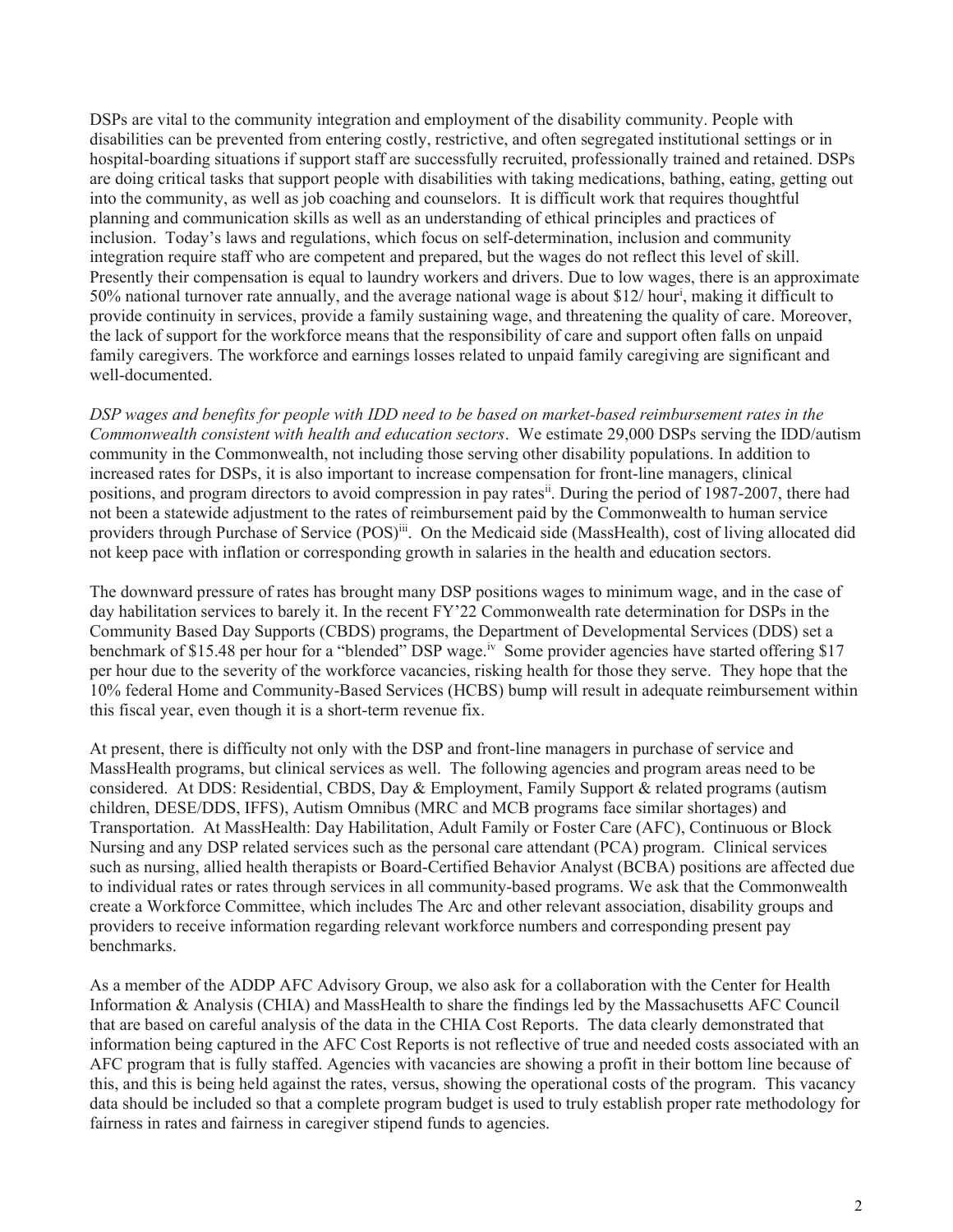DSPs are vital to the community integration and employment of the disability community. People with disabilities can be prevented from entering costly, restrictive, and often segregated institutional settings or in hospital-boarding situations if support staff are successfully recruited, professionally trained and retained. DSPs are doing critical tasks that support people with disabilities with taking medications, bathing, eating, getting out into the community, as well as job coaching and counselors. It is difficult work that requires thoughtful planning and communication skills as well as an understanding of ethical principles and practices of inclusion. Today's laws and regulations, which focus on self-determination, inclusion and community integration require staff who are competent and prepared, but the wages do not reflect this level of skill. Presently their compensation is equal to laundry workers and drivers. Due to low wages, there is an approximate 50% national turnover rate annually, and the average national wage is about \$12/ hour<sup>i</sup>, making it difficult to provide continuity in services, provide a family sustaining wage, and threatening the quality of care. Moreover, the lack of support for the workforce means that the responsibility of care and support often falls on unpaid family caregivers. The workforce and earnings losses related to unpaid family caregiving are significant and well-documented.

DSP wages and benefits for people with IDD need to be based on market-based reimbursement rates in the Commonwealth consistent with health and education sectors. We estimate 29,000 DSPs serving the IDD/autism community in the Commonwealth, not including those serving other disability populations. In addition to increased rates for DSPs, it is also important to increase compensation for front-line managers, clinical positions, and program directors to avoid compression in pay ratesii. During the period of 1987-2007, there had not been a statewide adjustment to the rates of reimbursement paid by the Commonwealth to human service providers through Purchase of Service (POS)<sup>iii</sup>. On the Medicaid side (MassHealth), cost of living allocated did not keep pace with inflation or corresponding growth in salaries in the health and education sectors.

The downward pressure of rates has brought many DSP positions wages to minimum wage, and in the case of day habilitation services to barely it. In the recent FY'22 Commonwealth rate determination for DSPs in the Community Based Day Supports (CBDS) programs, the Department of Developmental Services (DDS) set a benchmark of \$15.48 per hour for a "blended" DSP wage.<sup>iv</sup> Some provider agencies have started offering \$17 per hour due to the severity of the workforce vacancies, risking health for those they serve. They hope that the 10% federal Home and Community-Based Services (HCBS) bump will result in adequate reimbursement within this fiscal year, even though it is a short-term revenue fix.

At present, there is difficulty not only with the DSP and front-line managers in purchase of service and MassHealth programs, but clinical services as well. The following agencies and program areas need to be considered. At DDS: Residential, CBDS, Day & Employment, Family Support & related programs (autism children, DESE/DDS, IFFS), Autism Omnibus (MRC and MCB programs face similar shortages) and Transportation. At MassHealth: Day Habilitation, Adult Family or Foster Care (AFC), Continuous or Block Nursing and any DSP related services such as the personal care attendant (PCA) program. Clinical services such as nursing, allied health therapists or Board-Certified Behavior Analyst (BCBA) positions are affected due to individual rates or rates through services in all community-based programs. We ask that the Commonwealth create a Workforce Committee, which includes The Arc and other relevant association, disability groups and providers to receive information regarding relevant workforce numbers and corresponding present pay benchmarks.

As a member of the ADDP AFC Advisory Group, we also ask for a collaboration with the Center for Health Information & Analysis (CHIA) and MassHealth to share the findings led by the Massachusetts AFC Council that are based on careful analysis of the data in the CHIA Cost Reports. The data clearly demonstrated that information being captured in the AFC Cost Reports is not reflective of true and needed costs associated with an AFC program that is fully staffed. Agencies with vacancies are showing a profit in their bottom line because of this, and this is being held against the rates, versus, showing the operational costs of the program. This vacancy data should be included so that a complete program budget is used to truly establish proper rate methodology for fairness in rates and fairness in caregiver stipend funds to agencies.